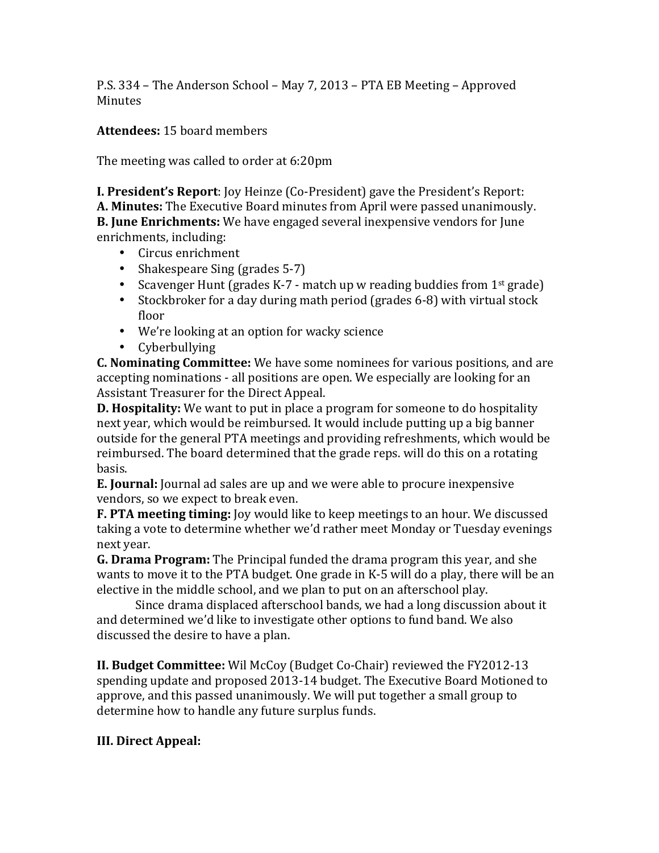P.S. 334 – The Anderson School – May 7, 2013 – PTA EB Meeting – Approved **Minutes** 

Attendees: 15 board members

The meeting was called to order at 6:20pm

**I. President's Report:** Joy Heinze (Co-President) gave the President's Report: **A. Minutes:** The Executive Board minutes from April were passed unanimously. **B.** June Enrichments: We have engaged several inexpensive vendors for June enrichments, including:

- Circus enrichment
- Shakespeare Sing (grades 5-7)
- Scavenger Hunt (grades K-7 match up w reading buddies from  $1<sup>st</sup>$  grade)
- Stockbroker for a day during math period (grades  $6-8$ ) with virtual stock floor
- We're looking at an option for wacky science
- Cyberbullying

**C.** Nominating Committee: We have some nominees for various positions, and are accepting nominations - all positions are open. We especially are looking for an Assistant Treasurer for the Direct Appeal.

**D.** Hospitality: We want to put in place a program for someone to do hospitality next year, which would be reimbursed. It would include putting up a big banner outside for the general PTA meetings and providing refreshments, which would be reimbursed. The board determined that the grade reps. will do this on a rotating basis. 

**E.** Journal: Journal ad sales are up and we were able to procure inexpensive vendors, so we expect to break even.

**F. PTA meeting timing:** Joy would like to keep meetings to an hour. We discussed taking a vote to determine whether we'd rather meet Monday or Tuesday evenings next year.

**G. Drama Program:** The Principal funded the drama program this year, and she wants to move it to the PTA budget. One grade in K-5 will do a play, there will be an elective in the middle school, and we plan to put on an afterschool play.

Since drama displaced afterschool bands, we had a long discussion about it and determined we'd like to investigate other options to fund band. We also discussed the desire to have a plan.

**II. Budget Committee:** Wil McCoy (Budget Co-Chair) reviewed the FY2012-13 spending update and proposed 2013-14 budget. The Executive Board Motioned to approve, and this passed unanimously. We will put together a small group to determine how to handle any future surplus funds.

# **III. Direct Appeal:**